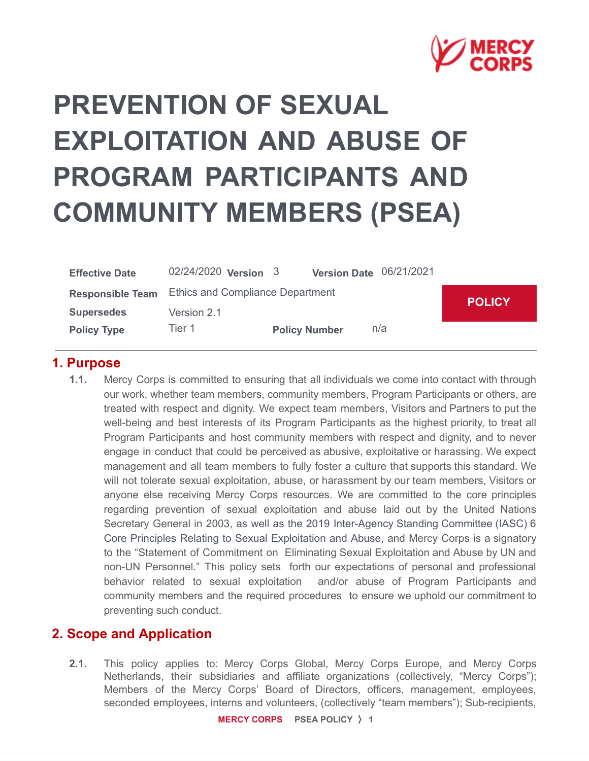

# **PREVENTION OF SEXUAL EXPLOITATION AND ABUSE OF PROGRAM PARTICIPANTS AND COMMUNITY MEMBERS (PSEA)**

| <b>Effective Date</b> | 02/24/2020 Version 3                              |                      | Version Date 06/21/2021 |     |  |  |
|-----------------------|---------------------------------------------------|----------------------|-------------------------|-----|--|--|
|                       | Responsible Team Ethics and Compliance Department | <b>POLICY</b>        |                         |     |  |  |
| <b>Supersedes</b>     | Version 2.1                                       |                      |                         |     |  |  |
| <b>Policy Type</b>    | Tier 1                                            | <b>Policy Number</b> |                         | n/a |  |  |

#### **1. Purpose**

**1.1.** Mercy Corps is committed to ensuring that all individuals we come into contact with through our work, whether team members, community members, Program Participants or others, are treated with respect and dignity. We expect team members, Visitors and Partners to put the well-being and best interests of its Program Participants as the highest priority, to treat all Program Participants and host community members with respect and dignity, and to never engage in conduct that could be perceived as abusive, exploitative or harassing. We expect management and all team members to fully foster a culture that supports this standard. We will not tolerate sexual exploitation, abuse, or harassment by our team members, Visitors or anyone else receiving Mercy Corps resources. We are committed to the core principles regarding prevention of sexual exploitation and abuse laid out by the United Nations Secretary General in 2003, as well as the 2019 Inter-Agency Standing Committee (IASC) 6 Core Principles Relating to Sexual Exploitation and Abuse, and Mercy Corps is a signatory to the "Statement of Commitment on Eliminating Sexual Exploitation and Abuse by UN and non-UN Personnel." This policy sets forth our expectations of personal and professional behavior related to sexual exploitation and/or abuse of Program Participants and community members and the required procedures to ensure we uphold our commitment to preventing such conduct.

#### **2. Scope and Application**

**2.1.** This policy applies to: Mercy Corps Global, Mercy Corps Europe, and Mercy Corps Netherlands, their subsidiaries and affiliate organizations (collectively, "Mercy Corps"); Members of the Mercy Corps' Board of Directors, officers, management, employees, seconded employees, interns and volunteers, (collectively "team members"); Sub-recipients,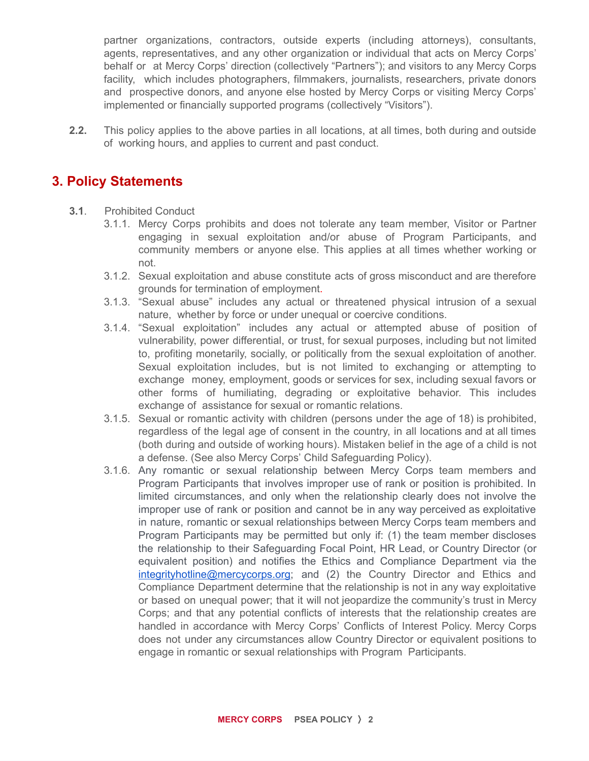partner organizations, contractors, outside experts (including attorneys), consultants, agents, representatives, and any other organization or individual that acts on Mercy Corps' behalf or at Mercy Corps' direction (collectively "Partners"); and visitors to any Mercy Corps facility, which includes photographers, filmmakers, journalists, researchers, private donors and prospective donors, and anyone else hosted by Mercy Corps or visiting Mercy Corps' implemented or financially supported programs (collectively "Visitors").

**2.2.** This policy applies to the above parties in all locations, at all times, both during and outside of working hours, and applies to current and past conduct.

### **3. Policy Statements**

- **3.1**. Prohibited Conduct
	- 3.1.1. Mercy Corps prohibits and does not tolerate any team member, Visitor or Partner engaging in sexual exploitation and/or abuse of Program Participants, and community members or anyone else. This applies at all times whether working or not.
	- 3.1.2. Sexual exploitation and abuse constitute acts of gross misconduct and are therefore grounds for termination of employment.
	- 3.1.3. "Sexual abuse" includes any actual or threatened physical intrusion of a sexual nature, whether by force or under unequal or coercive conditions.
	- 3.1.4. "Sexual exploitation" includes any actual or attempted abuse of position of vulnerability, power differential, or trust, for sexual purposes, including but not limited to, profiting monetarily, socially, or politically from the sexual exploitation of another. Sexual exploitation includes, but is not limited to exchanging or attempting to exchange money, employment, goods or services for sex, including sexual favors or other forms of humiliating, degrading or exploitative behavior. This includes exchange of assistance for sexual or romantic relations.
	- 3.1.5. Sexual or romantic activity with children (persons under the age of 18) is prohibited, regardless of the legal age of consent in the country, in all locations and at all times (both during and outside of working hours). Mistaken belief in the age of a child is not a defense. (See also Mercy Corps' Child Safeguarding Policy).
	- 3.1.6. Any romantic or sexual relationship between Mercy Corps team members and Program Participants that involves improper use of rank or position is prohibited. In limited circumstances, and only when the relationship clearly does not involve the improper use of rank or position and cannot be in any way perceived as exploitative in nature, romantic or sexual relationships between Mercy Corps team members and Program Participants may be permitted but only if: (1) the team member discloses the relationship to their Safeguarding Focal Point, HR Lead, or Country Director (or equivalent position) and notifies the Ethics and Compliance Department via the [integrityhotline@mercycorps.org](mailto:integrityhotline@mercycorps.org); and (2) the Country Director and Ethics and Compliance Department determine that the relationship is not in any way exploitative or based on unequal power; that it will not jeopardize the community's trust in Mercy Corps; and that any potential conflicts of interests that the relationship creates are handled in accordance with Mercy Corps' Conflicts of Interest Policy. Mercy Corps does not under any circumstances allow Country Director or equivalent positions to engage in romantic or sexual relationships with Program Participants.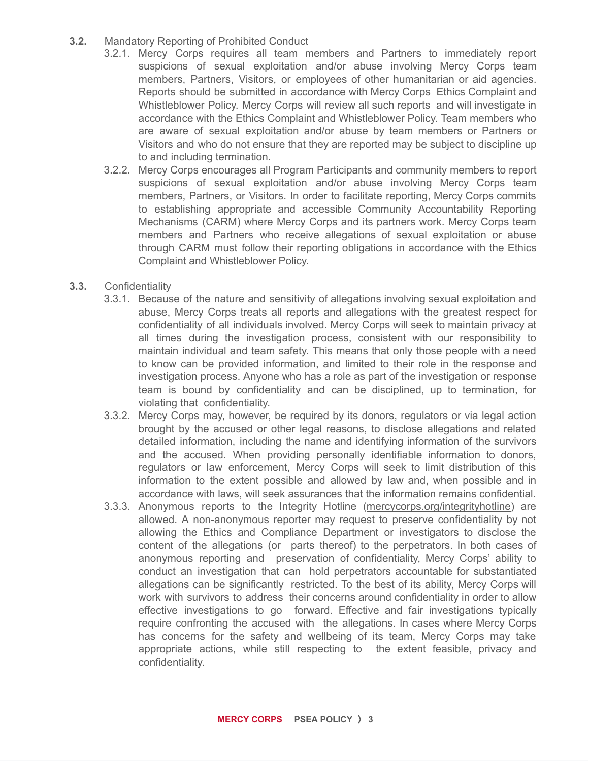- **3.2.** Mandatory Reporting of Prohibited Conduct
	- 3.2.1. Mercy Corps requires all team members and Partners to immediately report suspicions of sexual exploitation and/or abuse involving Mercy Corps team members, Partners, Visitors, or employees of other humanitarian or aid agencies. Reports should be submitted in accordance with Mercy Corps Ethics Complaint and Whistleblower Policy. Mercy Corps will review all such reports and will investigate in accordance with the Ethics Complaint and Whistleblower Policy. Team members who are aware of sexual exploitation and/or abuse by team members or Partners or Visitors and who do not ensure that they are reported may be subject to discipline up to and including termination.
	- 3.2.2. Mercy Corps encourages all Program Participants and community members to report suspicions of sexual exploitation and/or abuse involving Mercy Corps team members, Partners, or Visitors. In order to facilitate reporting, Mercy Corps commits to establishing appropriate and accessible Community Accountability Reporting Mechanisms (CARM) where Mercy Corps and its partners work. Mercy Corps team members and Partners who receive allegations of sexual exploitation or abuse through CARM must follow their reporting obligations in accordance with the Ethics Complaint and Whistleblower Policy.
- **3.3.** Confidentiality
	- 3.3.1. Because of the nature and sensitivity of allegations involving sexual exploitation and abuse, Mercy Corps treats all reports and allegations with the greatest respect for confidentiality of all individuals involved. Mercy Corps will seek to maintain privacy at all times during the investigation process, consistent with our responsibility to maintain individual and team safety. This means that only those people with a need to know can be provided information, and limited to their role in the response and investigation process. Anyone who has a role as part of the investigation or response team is bound by confidentiality and can be disciplined, up to termination, for violating that confidentiality.
	- 3.3.2. Mercy Corps may, however, be required by its donors, regulators or via legal action brought by the accused or other legal reasons, to disclose allegations and related detailed information, including the name and identifying information of the survivors and the accused. When providing personally identifiable information to donors, regulators or law enforcement, Mercy Corps will seek to limit distribution of this information to the extent possible and allowed by law and, when possible and in accordance with laws, will seek assurances that the information remains confidential.
	- 3.3.3. Anonymous reports to the Integrity Hotline (mercycorps.org/integrityhotline) are allowed. A non-anonymous reporter may request to preserve confidentiality by not allowing the Ethics and Compliance Department or investigators to disclose the content of the allegations (or parts thereof) to the perpetrators. In both cases of anonymous reporting and preservation of confidentiality, Mercy Corps' ability to conduct an investigation that can hold perpetrators accountable for substantiated allegations can be significantly restricted. To the best of its ability, Mercy Corps will work with survivors to address their concerns around confidentiality in order to allow effective investigations to go forward. Effective and fair investigations typically require confronting the accused with the allegations. In cases where Mercy Corps has concerns for the safety and wellbeing of its team, Mercy Corps may take appropriate actions, while still respecting to the extent feasible, privacy and confidentiality.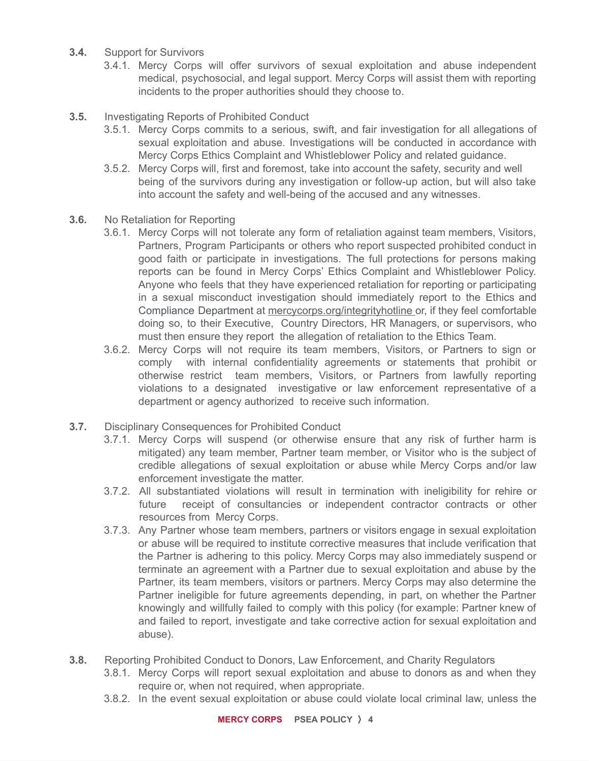- **3.4.** Support for Survivors
	- 3.4.1. Mercy Corps will offer survivors of sexual exploitation and abuse independent medical, psychosocial, and legal support. Mercy Corps will assist them with reporting incidents to the proper authorities should they choose to.
- **3.5.** Investigating Reports of Prohibited Conduct
	- 3.5.1. Mercy Corps commits to a serious, swift, and fair investigation for all allegations of sexual exploitation and abuse. Investigations will be conducted in accordance with Mercy Corps Ethics Complaint and Whistleblower Policy and related guidance.
	- 3.5.2. Mercy Corps will, first and foremost, take into account the safety, security and well being of the survivors during any investigation or follow-up action, but will also take into account the safety and well-being of the accused and any witnesses.
- **3.6.** No Retaliation for Reporting
	- 3.6.1. Mercy Corps will not tolerate any form of retaliation against team members, Visitors, Partners, Program Participants or others who report suspected prohibited conduct in good faith or participate in investigations. The full protections for persons making reports can be found in Mercy Corps' Ethics Complaint and Whistleblower Policy. Anyone who feels that they have experienced retaliation for reporting or participating in a sexual misconduct investigation should immediately report to the Ethics and Compliance Department at mercycorps.org/integrityhotline or, if they feel comfortable doing so, to their Executive, Country Directors, HR Managers, or supervisors, who must then ensure they report the allegation of retaliation to the Ethics Team.
	- 3.6.2. Mercy Corps will not require its team members, Visitors, or Partners to sign or comply with internal confidentiality agreements or statements that prohibit or otherwise restrict team members, Visitors, or Partners from lawfully reporting violations to a designated investigative or law enforcement representative of a department or agency authorized to receive such information.
- **3.7.** Disciplinary Consequences for Prohibited Conduct
	- 3.7.1. Mercy Corps will suspend (or otherwise ensure that any risk of further harm is mitigated) any team member, Partner team member, or Visitor who is the subject of credible allegations of sexual exploitation or abuse while Mercy Corps and/or law enforcement investigate the matter.
	- 3.7.2. All substantiated violations will result in termination with ineligibility for rehire or future receipt of consultancies or independent contractor contracts or other resources from Mercy Corps.
	- 3.7.3. Any Partner whose team members, partners or visitors engage in sexual exploitation or abuse will be required to institute corrective measures that include verification that the Partner is adhering to this policy. Mercy Corps may also immediately suspend or terminate an agreement with a Partner due to sexual exploitation and abuse by the Partner, its team members, visitors or partners. Mercy Corps may also determine the Partner ineligible for future agreements depending, in part, on whether the Partner knowingly and willfully failed to comply with this policy (for example: Partner knew of and failed to report, investigate and take corrective action for sexual exploitation and abuse).
- **3.8.** Reporting Prohibited Conduct to Donors, Law Enforcement, and Charity Regulators
	- 3.8.1. Mercy Corps will report sexual exploitation and abuse to donors as and when they require or, when not required, when appropriate.
	- 3.8.2. In the event sexual exploitation or abuse could violate local criminal law, unless the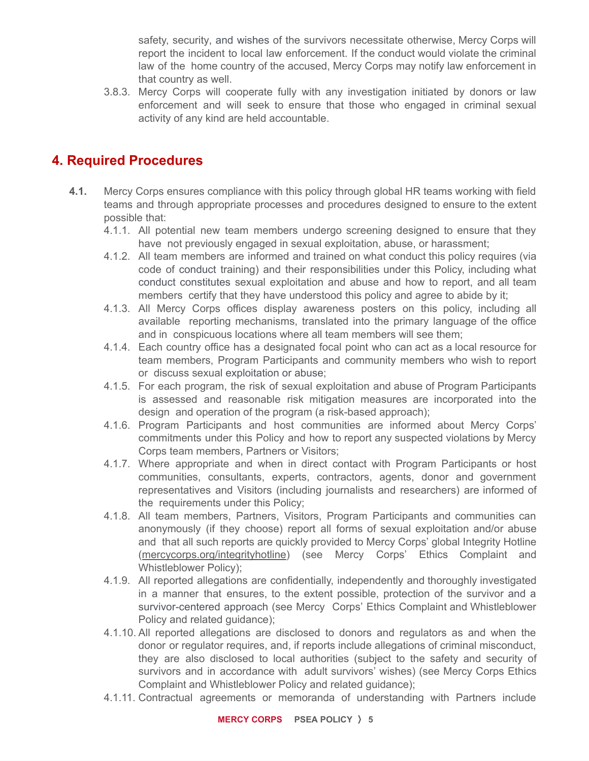safety, security, and wishes of the survivors necessitate otherwise, Mercy Corps will report the incident to local law enforcement. If the conduct would violate the criminal law of the home country of the accused, Mercy Corps may notify law enforcement in that country as well.

3.8.3. Mercy Corps will cooperate fully with any investigation initiated by donors or law enforcement and will seek to ensure that those who engaged in criminal sexual activity of any kind are held accountable.

## **4. Required Procedures**

- **4.1.** Mercy Corps ensures compliance with this policy through global HR teams working with field teams and through appropriate processes and procedures designed to ensure to the extent possible that:
	- 4.1.1. All potential new team members undergo screening designed to ensure that they have not previously engaged in sexual exploitation, abuse, or harassment;
	- 4.1.2. All team members are informed and trained on what conduct this policy requires (via code of conduct training) and their responsibilities under this Policy, including what conduct constitutes sexual exploitation and abuse and how to report, and all team members certify that they have understood this policy and agree to abide by it;
	- 4.1.3. All Mercy Corps offices display awareness posters on this policy, including all available reporting mechanisms, translated into the primary language of the office and in conspicuous locations where all team members will see them;
	- 4.1.4. Each country office has a designated focal point who can act as a local resource for team members, Program Participants and community members who wish to report or discuss sexual exploitation or abuse;
	- 4.1.5. For each program, the risk of sexual exploitation and abuse of Program Participants is assessed and reasonable risk mitigation measures are incorporated into the design and operation of the program (a risk-based approach);
	- 4.1.6. Program Participants and host communities are informed about Mercy Corps' commitments under this Policy and how to report any suspected violations by Mercy Corps team members, Partners or Visitors;
	- 4.1.7. Where appropriate and when in direct contact with Program Participants or host communities, consultants, experts, contractors, agents, donor and government representatives and Visitors (including journalists and researchers) are informed of the requirements under this Policy;
	- 4.1.8. All team members, Partners, Visitors, Program Participants and communities can anonymously (if they choose) report all forms of sexual exploitation and/or abuse and that all such reports are quickly provided to Mercy Corps' global Integrity Hotline (mercycorps.org/integrityhotline) (see Mercy Corps' Ethics Complaint and Whistleblower Policy);
	- 4.1.9. All reported allegations are confidentially, independently and thoroughly investigated in a manner that ensures, to the extent possible, protection of the survivor and a survivor-centered approach (see Mercy Corps' Ethics Complaint and Whistleblower Policy and related guidance);
	- 4.1.10. All reported allegations are disclosed to donors and regulators as and when the donor or regulator requires, and, if reports include allegations of criminal misconduct, they are also disclosed to local authorities (subject to the safety and security of survivors and in accordance with adult survivors' wishes) (see Mercy Corps Ethics Complaint and Whistleblower Policy and related guidance);
	- 4.1.11. Contractual agreements or memoranda of understanding with Partners include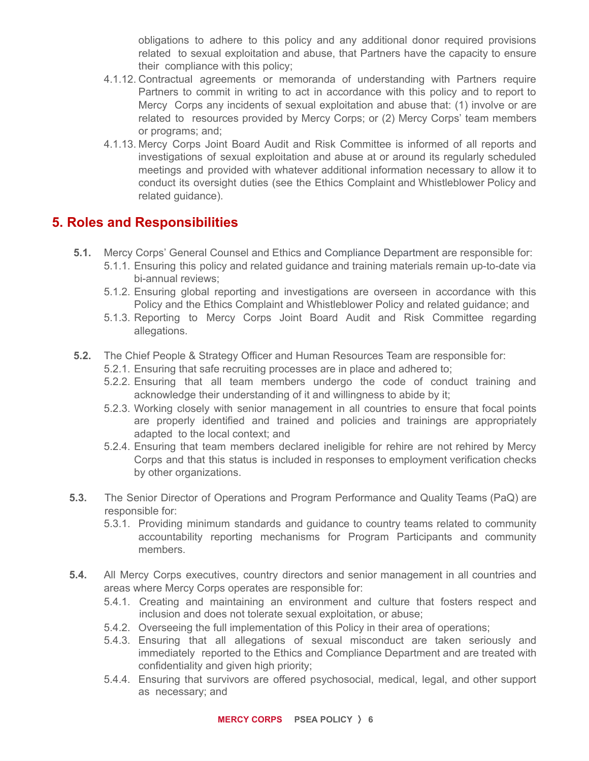obligations to adhere to this policy and any additional donor required provisions related to sexual exploitation and abuse, that Partners have the capacity to ensure their compliance with this policy;

- 4.1.12. Contractual agreements or memoranda of understanding with Partners require Partners to commit in writing to act in accordance with this policy and to report to Mercy Corps any incidents of sexual exploitation and abuse that: (1) involve or are related to resources provided by Mercy Corps; or (2) Mercy Corps' team members or programs; and;
- 4.1.13. Mercy Corps Joint Board Audit and Risk Committee is informed of all reports and investigations of sexual exploitation and abuse at or around its regularly scheduled meetings and provided with whatever additional information necessary to allow it to conduct its oversight duties (see the Ethics Complaint and Whistleblower Policy and related guidance).

#### **5. Roles and Responsibilities**

- **5.1.** Mercy Corps' General Counsel and Ethics and Compliance Department are responsible for:
	- 5.1.1. Ensuring this policy and related guidance and training materials remain up-to-date via bi-annual reviews;
	- 5.1.2. Ensuring global reporting and investigations are overseen in accordance with this Policy and the Ethics Complaint and Whistleblower Policy and related guidance; and
	- 5.1.3. Reporting to Mercy Corps Joint Board Audit and Risk Committee regarding allegations.
- **5.2.** The Chief People & Strategy Officer and Human Resources Team are responsible for:
	- 5.2.1. Ensuring that safe recruiting processes are in place and adhered to;
	- 5.2.2. Ensuring that all team members undergo the code of conduct training and acknowledge their understanding of it and willingness to abide by it;
	- 5.2.3. Working closely with senior management in all countries to ensure that focal points are properly identified and trained and policies and trainings are appropriately adapted to the local context; and
	- 5.2.4. Ensuring that team members declared ineligible for rehire are not rehired by Mercy Corps and that this status is included in responses to employment verification checks by other organizations.
- **5.3.** The Senior Director of Operations and Program Performance and Quality Teams (PaQ) are responsible for:
	- 5.3.1. Providing minimum standards and guidance to country teams related to community accountability reporting mechanisms for Program Participants and community members.
- **5.4.** All Mercy Corps executives, country directors and senior management in all countries and areas where Mercy Corps operates are responsible for:
	- 5.4.1. Creating and maintaining an environment and culture that fosters respect and inclusion and does not tolerate sexual exploitation, or abuse;
	- 5.4.2. Overseeing the full implementation of this Policy in their area of operations;
	- 5.4.3. Ensuring that all allegations of sexual misconduct are taken seriously and immediately reported to the Ethics and Compliance Department and are treated with confidentiality and given high priority;
	- 5.4.4. Ensuring that survivors are offered psychosocial, medical, legal, and other support as necessary; and